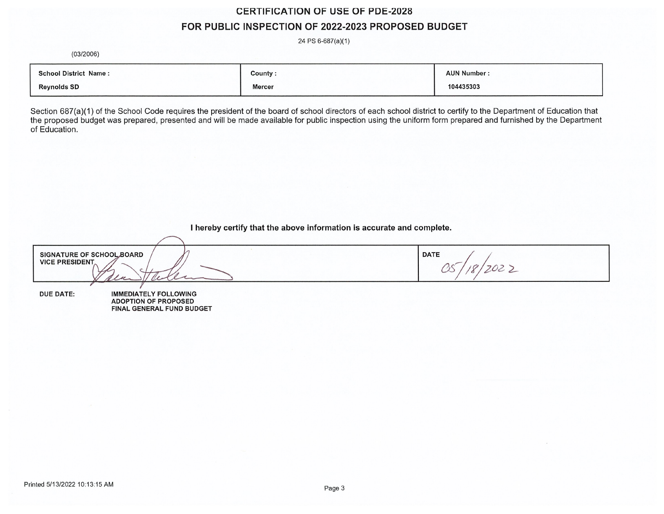# **CERTIFICATION OF USE OF PDE-2028** FOR PUBLIC INSPECTION OF 2022-2023 PROPOSED BUDGET

24 PS 6-687(a)(1)

 $(03/2006)$ 

| <b>School District Name:</b> | County:       | <b>AUN Number:</b> |
|------------------------------|---------------|--------------------|
| <b>Reynolds SD</b>           | <b>Mercer</b> | 104435303          |

Section 687(a)(1) of the School Code requires the president of the board of school directors of each school district to certify to the Department of Education that<br>the proposed budget was prepared, presented and will be ma of Education.

I hereby certify that the above information is accurate and complete.

SIGNATURE OF SCHOOL BOARD **DATE VICE PRESIDENT.** 18/2022  $\alpha$ s

**DUE DATE:** 

**IMMEDIATELY FOLLOWING ADOPTION OF PROPOSED** FINAL GENERAL FUND BUDGET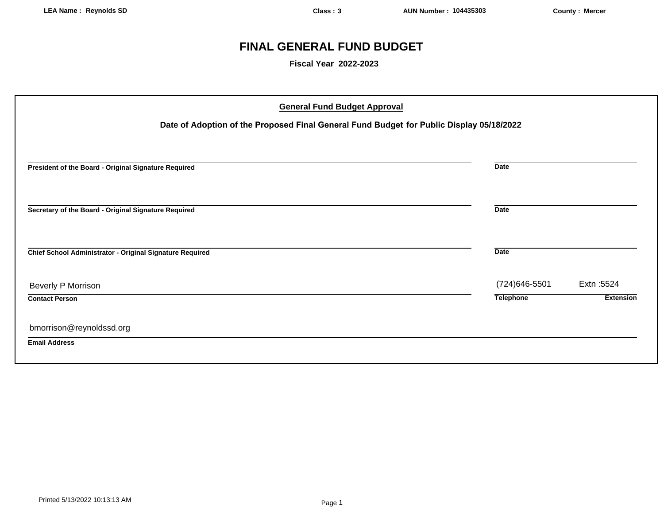# **FINAL GENERAL FUND BUDGET**

**Fiscal Year 2022-2023**

| <b>General Fund Budget Approval</b>                                                      |                  |                  |
|------------------------------------------------------------------------------------------|------------------|------------------|
| Date of Adoption of the Proposed Final General Fund Budget for Public Display 05/18/2022 |                  |                  |
|                                                                                          |                  |                  |
| President of the Board - Original Signature Required                                     | <b>Date</b>      |                  |
| Secretary of the Board - Original Signature Required                                     | <b>Date</b>      |                  |
| Chief School Administrator - Original Signature Required                                 | <b>Date</b>      |                  |
| Beverly P Morrison                                                                       | (724) 646-5501   | Extn: 5524       |
| <b>Contact Person</b>                                                                    | <b>Telephone</b> | <b>Extension</b> |
| bmorrison@reynoldssd.org                                                                 |                  |                  |
| <b>Email Address</b>                                                                     |                  |                  |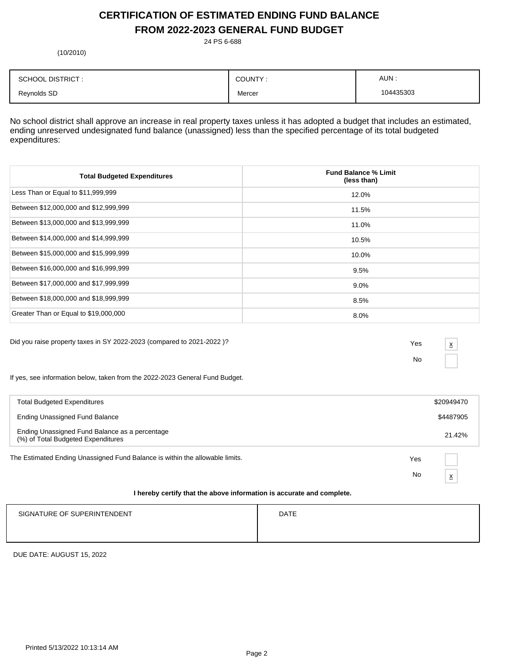## **CERTIFICATION OF ESTIMATED ENDING FUND BALANCE FROM 2022-2023 GENERAL FUND BUDGET**

24 PS 6-688

(10/2010)

| <b>SCHOOL DISTRICT:</b> | COUNTY: | AUN:      |
|-------------------------|---------|-----------|
| Reynolds SD             | Mercer  | 104435303 |

No school district shall approve an increase in real property taxes unless it has adopted a budget that includes an estimated, ending unreserved undesignated fund balance (unassigned) less than the specified percentage of its total budgeted expenditures:

| <b>Total Budgeted Expenditures</b>    | <b>Fund Balance % Limit</b><br>(less than) |
|---------------------------------------|--------------------------------------------|
| Less Than or Equal to \$11,999,999    | 12.0%                                      |
| Between \$12,000,000 and \$12,999,999 | 11.5%                                      |
| Between \$13,000,000 and \$13,999,999 | 11.0%                                      |
| Between \$14,000,000 and \$14,999,999 | 10.5%                                      |
| Between \$15,000,000 and \$15,999,999 | 10.0%                                      |
| Between \$16,000,000 and \$16,999,999 | 9.5%                                       |
| Between \$17,000,000 and \$17,999,999 | $9.0\%$                                    |
| Between \$18,000,000 and \$18,999,999 | 8.5%                                       |
| Greater Than or Equal to \$19,000,000 | 8.0%                                       |

Did you raise property taxes in SY 2022-2023 (compared to 2021-2022 )? Yes

No

x

If yes, see information below, taken from the 2022-2023 General Fund Budget.

| <b>Total Budgeted Expenditures</b>                                                   |     | \$20949470               |
|--------------------------------------------------------------------------------------|-----|--------------------------|
| Ending Unassigned Fund Balance                                                       |     | \$4487905                |
| Ending Unassigned Fund Balance as a percentage<br>(%) of Total Budgeted Expenditures |     | 21.42%                   |
| The Estimated Ending Unassigned Fund Balance is within the allowable limits.         | Yes |                          |
|                                                                                      | No  | $\underline{\mathsf{X}}$ |
| I hereby certify that the above information is accurate and complete.                |     |                          |

# SIGNATURE OF SUPERINTENDENT **EXAMPLE 20** ON THE SIGNATURE OF SUPERINTENDENT

DUE DATE: AUGUST 15, 2022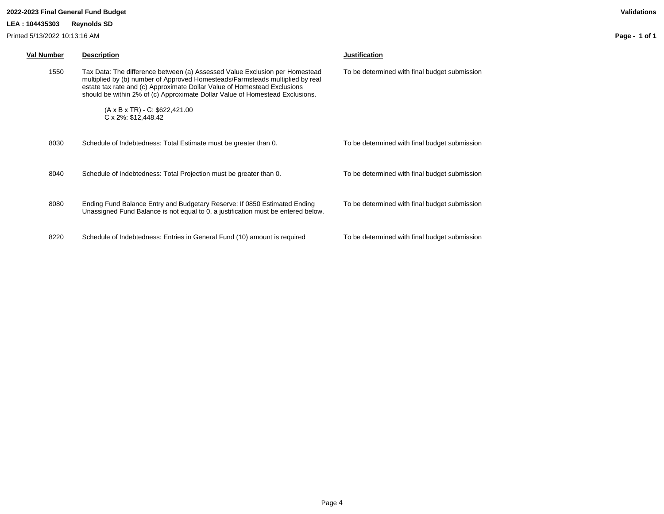#### **LEA : 104435303 Reynolds SD**

Printed 5/13/2022 10:13:16 AM

| <b>Val Number</b> | <b>Description</b>                                                                                                                                                                                                                                                                                                       | <b>Justification</b>                          |
|-------------------|--------------------------------------------------------------------------------------------------------------------------------------------------------------------------------------------------------------------------------------------------------------------------------------------------------------------------|-----------------------------------------------|
| 1550              | Tax Data: The difference between (a) Assessed Value Exclusion per Homestead<br>multiplied by (b) number of Approved Homesteads/Farmsteads multiplied by real<br>estate tax rate and (c) Approximate Dollar Value of Homestead Exclusions<br>should be within 2% of (c) Approximate Dollar Value of Homestead Exclusions. | To be determined with final budget submission |
|                   | $(A \times B \times TR) - C$ : \$622,421.00<br>C x 2%: \$12,448.42                                                                                                                                                                                                                                                       |                                               |
| 8030              | Schedule of Indebtedness: Total Estimate must be greater than 0.                                                                                                                                                                                                                                                         | To be determined with final budget submission |
| 8040              | Schedule of Indebtedness: Total Projection must be greater than 0.                                                                                                                                                                                                                                                       | To be determined with final budget submission |
| 8080              | Ending Fund Balance Entry and Budgetary Reserve: If 0850 Estimated Ending<br>Unassigned Fund Balance is not equal to 0, a justification must be entered below.                                                                                                                                                           | To be determined with final budget submission |
| 8220              | Schedule of Indebtedness: Entries in General Fund (10) amount is required                                                                                                                                                                                                                                                | To be determined with final budget submission |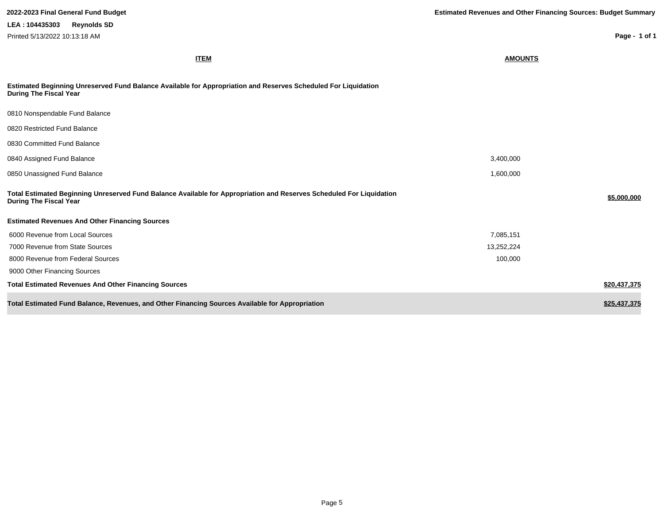**Page - 1 of 1**

**ITEM AMOUNTS**

| Estimated Beginning Unreserved Fund Balance Available for Appropriation and Reserves Scheduled For Liquidation |
|----------------------------------------------------------------------------------------------------------------|
| During The Fiscal Year                                                                                         |

| 0810 Nonspendable Fund Balance                                                                                                                        |            |              |
|-------------------------------------------------------------------------------------------------------------------------------------------------------|------------|--------------|
| 0820 Restricted Fund Balance                                                                                                                          |            |              |
| 0830 Committed Fund Balance                                                                                                                           |            |              |
| 0840 Assigned Fund Balance                                                                                                                            | 3,400,000  |              |
| 0850 Unassigned Fund Balance                                                                                                                          | 1,600,000  |              |
| Total Estimated Beginning Unreserved Fund Balance Available for Appropriation and Reserves Scheduled For Liquidation<br><b>During The Fiscal Year</b> |            | \$5,000,000  |
| <b>Estimated Revenues And Other Financing Sources</b>                                                                                                 |            |              |
| 6000 Revenue from Local Sources                                                                                                                       | 7,085,151  |              |
| 7000 Revenue from State Sources                                                                                                                       | 13,252,224 |              |
| 8000 Revenue from Federal Sources                                                                                                                     | 100,000    |              |
| 9000 Other Financing Sources                                                                                                                          |            |              |
| <b>Total Estimated Revenues And Other Financing Sources</b>                                                                                           |            | \$20,437,375 |
| Total Estimated Fund Balance, Revenues, and Other Financing Sources Available for Appropriation                                                       |            | \$25,437,375 |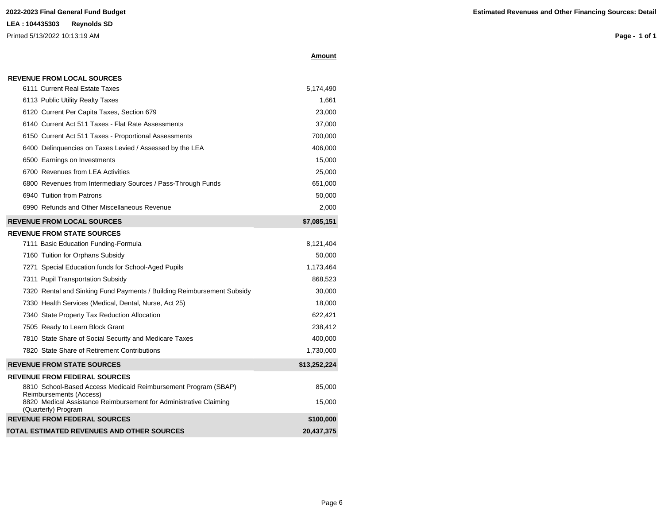#### **Amount**

| <b>REVENUE FROM LOCAL SOURCES</b> |
|-----------------------------------|
|-----------------------------------|

| 6111 Current Real Estate Taxes                                                            | 5,174,490    |
|-------------------------------------------------------------------------------------------|--------------|
| 6113 Public Utility Realty Taxes                                                          | 1,661        |
| 6120 Current Per Capita Taxes, Section 679                                                | 23,000       |
| 6140 Current Act 511 Taxes - Flat Rate Assessments                                        | 37,000       |
| 6150 Current Act 511 Taxes - Proportional Assessments                                     | 700,000      |
| 6400 Delinquencies on Taxes Levied / Assessed by the LEA                                  | 406,000      |
| 6500 Earnings on Investments                                                              | 15,000       |
| 6700 Revenues from LEA Activities                                                         | 25,000       |
| 6800 Revenues from Intermediary Sources / Pass-Through Funds                              | 651,000      |
| 6940 Tuition from Patrons                                                                 | 50,000       |
| 6990 Refunds and Other Miscellaneous Revenue                                              | 2,000        |
| <b>REVENUE FROM LOCAL SOURCES</b>                                                         | \$7,085,151  |
| <b>REVENUE FROM STATE SOURCES</b>                                                         |              |
| 7111 Basic Education Funding-Formula                                                      | 8,121,404    |
| 7160 Tuition for Orphans Subsidy                                                          | 50,000       |
| 7271 Special Education funds for School-Aged Pupils                                       | 1,173,464    |
| 7311 Pupil Transportation Subsidy                                                         | 868,523      |
| 7320 Rental and Sinking Fund Payments / Building Reimbursement Subsidy                    | 30,000       |
| 7330 Health Services (Medical, Dental, Nurse, Act 25)                                     | 18,000       |
| 7340 State Property Tax Reduction Allocation                                              | 622,421      |
| 7505 Ready to Learn Block Grant                                                           | 238,412      |
| 7810 State Share of Social Security and Medicare Taxes                                    | 400,000      |
| 7820 State Share of Retirement Contributions                                              | 1,730,000    |
| <b>REVENUE FROM STATE SOURCES</b>                                                         | \$13,252,224 |
| <b>REVENUE FROM FEDERAL SOURCES</b>                                                       |              |
| 8810 School-Based Access Medicaid Reimbursement Program (SBAP)<br>Reimbursements (Access) | 85,000       |
| 8820 Medical Assistance Reimbursement for Administrative Claiming<br>(Quarterly) Program  | 15,000       |
| <b>REVENUE FROM FEDERAL SOURCES</b>                                                       | \$100,000    |
| TOTAL ESTIMATED REVENUES AND OTHER SOURCES                                                | 20,437,375   |
|                                                                                           |              |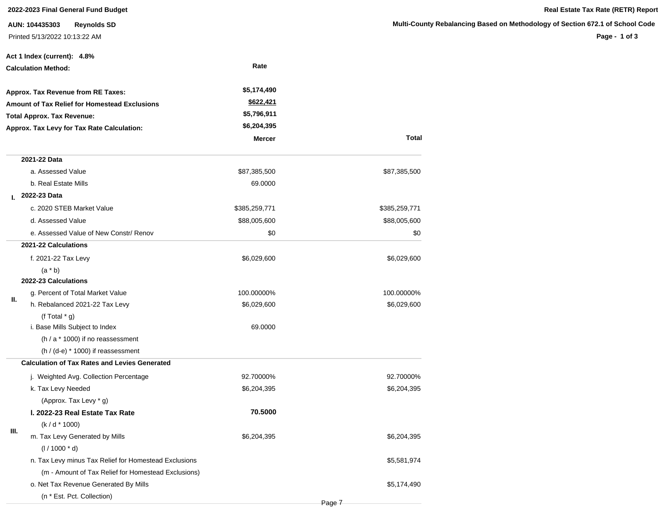**AUN: 104435303 Reynolds SD** Printed 5/13/2022 10:13:22 AM

**Page - 1 of 3**

|                                                                                           | Act 1 Index (current): 4.8%                           |               |               |
|-------------------------------------------------------------------------------------------|-------------------------------------------------------|---------------|---------------|
|                                                                                           | <b>Calculation Method:</b>                            | Rate          |               |
|                                                                                           | Approx. Tax Revenue from RE Taxes:                    | \$5,174,490   |               |
| <b>Amount of Tax Relief for Homestead Exclusions</b><br><b>Total Approx. Tax Revenue:</b> |                                                       | \$622,421     |               |
|                                                                                           |                                                       | \$5,796,911   |               |
|                                                                                           | Approx. Tax Levy for Tax Rate Calculation:            | \$6,204,395   |               |
|                                                                                           |                                                       | <b>Mercer</b> | Total         |
|                                                                                           | 2021-22 Data                                          |               |               |
|                                                                                           | a. Assessed Value                                     | \$87,385,500  | \$87,385,500  |
|                                                                                           | b. Real Estate Mills                                  | 69.0000       |               |
| L.                                                                                        | 2022-23 Data                                          |               |               |
|                                                                                           | c. 2020 STEB Market Value                             | \$385,259,771 | \$385,259,771 |
|                                                                                           | d. Assessed Value                                     | \$88,005,600  | \$88,005,600  |
|                                                                                           | e. Assessed Value of New Constr/ Renov                | \$0           | \$0           |
|                                                                                           | 2021-22 Calculations                                  |               |               |
|                                                                                           | f. 2021-22 Tax Levy                                   | \$6,029,600   | \$6,029,600   |
|                                                                                           | $(a * b)$                                             |               |               |
|                                                                                           | 2022-23 Calculations                                  |               |               |
| Ш.                                                                                        | g. Percent of Total Market Value                      | 100.00000%    | 100.00000%    |
|                                                                                           | h. Rebalanced 2021-22 Tax Levy                        | \$6,029,600   | \$6,029,600   |
|                                                                                           | (f Total $*$ g)                                       |               |               |
|                                                                                           | i. Base Mills Subject to Index                        | 69.0000       |               |
|                                                                                           | $(h / a * 1000)$ if no reassessment                   |               |               |
|                                                                                           | $(h / (d-e) * 1000)$ if reassessment                  |               |               |
|                                                                                           | <b>Calculation of Tax Rates and Levies Generated</b>  |               |               |
|                                                                                           | j. Weighted Avg. Collection Percentage                | 92.70000%     | 92.70000%     |
|                                                                                           | k. Tax Levy Needed                                    | \$6,204,395   | \$6,204,395   |
|                                                                                           | (Approx. Tax Levy * g)                                |               |               |
|                                                                                           | I. 2022-23 Real Estate Tax Rate                       | 70.5000       |               |
| Ш.                                                                                        | $(k/d * 1000)$                                        |               |               |
|                                                                                           | m. Tax Levy Generated by Mills                        | \$6,204,395   | \$6,204,395   |
|                                                                                           | $(1/1000 * d)$                                        |               |               |
|                                                                                           | n. Tax Levy minus Tax Relief for Homestead Exclusions |               | \$5,581,974   |
|                                                                                           | (m - Amount of Tax Relief for Homestead Exclusions)   |               |               |
|                                                                                           | o. Net Tax Revenue Generated By Mills                 |               | \$5,174,490   |
|                                                                                           | (n * Est. Pct. Collection)                            |               |               |

Page 7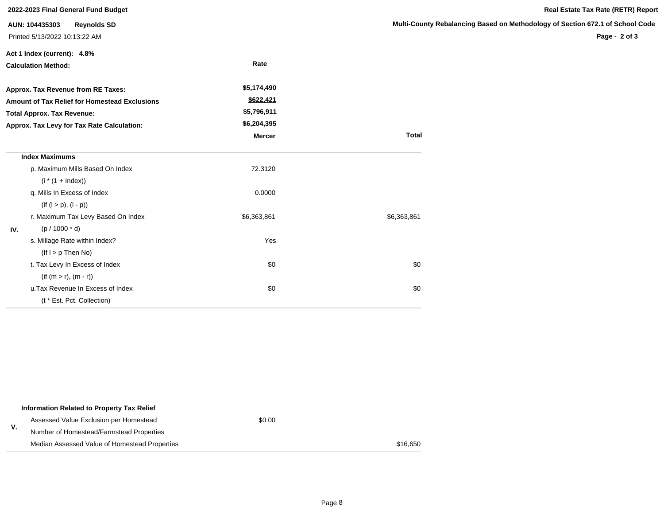|     | 2022-2023 Final General Fund Budget                                   |               |                     |
|-----|-----------------------------------------------------------------------|---------------|---------------------|
|     | AUN: 104435303<br><b>Reynolds SD</b><br>Printed 5/13/2022 10:13:22 AM |               | <b>Multi-County</b> |
|     | Act 1 Index (current): 4.8%                                           |               |                     |
|     | <b>Calculation Method:</b>                                            | Rate          |                     |
|     | Approx. Tax Revenue from RE Taxes:                                    | \$5,174,490   |                     |
|     | Amount of Tax Relief for Homestead Exclusions                         | \$622,421     |                     |
|     | <b>Total Approx. Tax Revenue:</b>                                     | \$5,796,911   |                     |
|     | Approx. Tax Levy for Tax Rate Calculation:                            | \$6,204,395   |                     |
|     |                                                                       | <b>Mercer</b> | <b>Total</b>        |
|     | <b>Index Maximums</b>                                                 |               |                     |
|     | p. Maximum Mills Based On Index                                       | 72.3120       |                     |
|     | $(i * (1 + Index))$                                                   |               |                     |
|     | q. Mills In Excess of Index                                           | 0.0000        |                     |
|     | $(if (l > p), (l - p))$                                               |               |                     |
|     | r. Maximum Tax Levy Based On Index                                    | \$6,363,861   | \$6,363,861         |
| IV. | $(p / 1000 * d)$                                                      |               |                     |
|     | s. Millage Rate within Index?                                         | Yes           |                     |
|     | $($ lf $ $ > $p$ Then No)                                             |               |                     |
|     | t. Tax Levy In Excess of Index                                        | \$0           | \$0                 |
|     | $(if (m > r), (m - r))$                                               |               |                     |
|     | u. Tax Revenue In Excess of Index                                     | \$0           | \$0                 |
|     | (t * Est. Pct. Collection)                                            |               |                     |

|    | Information Related to Property Tax Relief    |        |          |
|----|-----------------------------------------------|--------|----------|
| ۷. | Assessed Value Exclusion per Homestead        | \$0.00 |          |
|    | Number of Homestead/Farmstead Properties      |        |          |
|    | Median Assessed Value of Homestead Properties |        | \$16,650 |

#### **Ky Rebalancing Based on Methodology of Section 672.1 of School Code**

**Page - 2 of 3**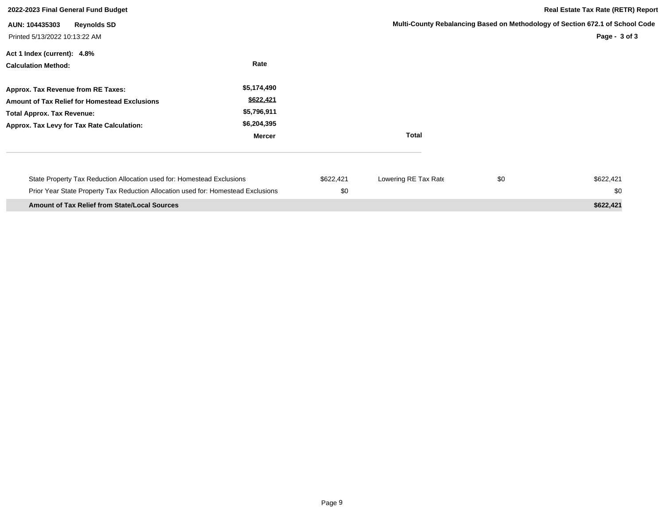| 2022-2023 Final General Fund Budget                                                                                                                                           |                                                                  |                  |                      | <b>Real Estate Tax Rate (RETR) Report</b>                                                      |                  |  |
|-------------------------------------------------------------------------------------------------------------------------------------------------------------------------------|------------------------------------------------------------------|------------------|----------------------|------------------------------------------------------------------------------------------------|------------------|--|
| <b>Reynolds SD</b><br>AUN: 104435303<br>Printed 5/13/2022 10:13:22 AM                                                                                                         |                                                                  |                  |                      | Multi-County Rebalancing Based on Methodology of Section 672.1 of School Code<br>Page - 3 of 3 |                  |  |
| Act 1 Index (current): 4.8%<br><b>Calculation Method:</b>                                                                                                                     | Rate                                                             |                  |                      |                                                                                                |                  |  |
| Approx. Tax Revenue from RE Taxes:<br><b>Amount of Tax Relief for Homestead Exclusions</b><br><b>Total Approx. Tax Revenue:</b><br>Approx. Tax Levy for Tax Rate Calculation: | \$5,174,490<br>\$622,421<br>\$5,796,911<br>\$6,204,395<br>Mercer |                  | <b>Total</b>         |                                                                                                |                  |  |
| State Property Tax Reduction Allocation used for: Homestead Exclusions<br>Prior Year State Property Tax Reduction Allocation used for: Homestead Exclusions                   |                                                                  | \$622,421<br>\$0 | Lowering RE Tax Rate | \$0                                                                                            | \$622,421<br>\$0 |  |
| <b>Amount of Tax Relief from State/Local Sources</b>                                                                                                                          |                                                                  |                  |                      |                                                                                                | \$622,421        |  |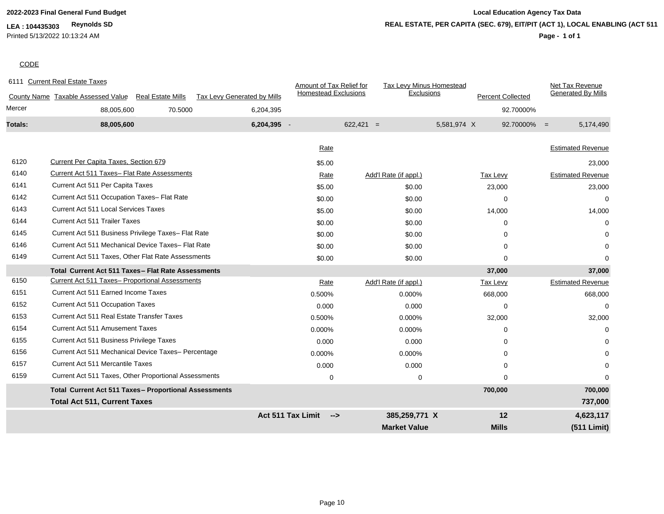### **LEA : 104435303 Reynolds SD**

Printed 5/13/2022 10:13:24 AM

## **2022-2023 Final General Fund Budget Local Education Agency Tax Data Page - 1 of 1 REAL ESTATE, PER CAPITA (SEC. 679), EIT/PIT (ACT 1), LOCAL ENABLING (ACT 511)**

## **CODE**

|         | 6111 Current Real Estate Taxes                                 |                             | Amount of Tax Relief for    | Tax Levy Minus Homestead |                          | Net Tax Revenue             |
|---------|----------------------------------------------------------------|-----------------------------|-----------------------------|--------------------------|--------------------------|-----------------------------|
|         | County Name Taxable Assessed Value<br><b>Real Estate Mills</b> | Tax Levy Generated by Mills | <b>Homestead Exclusions</b> | Exclusions               | <b>Percent Collected</b> | <b>Generated By Mills</b>   |
| Mercer  | 70.5000<br>88,005,600                                          | 6,204,395                   |                             |                          |                          | 92.70000%                   |
| Totals: | 88,005,600                                                     | 6,204,395 -                 |                             | $622,421 =$              | 5,581,974 X              | $92.70000\% =$<br>5,174,490 |
|         |                                                                |                             |                             |                          |                          |                             |
|         |                                                                |                             | Rate                        |                          |                          | <b>Estimated Revenue</b>    |
| 6120    | Current Per Capita Taxes, Section 679                          |                             | \$5.00                      |                          |                          | 23,000                      |
| 6140    | Current Act 511 Taxes- Flat Rate Assessments                   |                             | Rate                        | Add'l Rate (if appl.)    | Tax Levy                 | <b>Estimated Revenue</b>    |
| 6141    | Current Act 511 Per Capita Taxes                               |                             | \$5.00                      | \$0.00                   | 23,000                   | 23,000                      |
| 6142    | Current Act 511 Occupation Taxes- Flat Rate                    |                             | \$0.00                      | \$0.00                   | $\Omega$                 | $\Omega$                    |
| 6143    | <b>Current Act 511 Local Services Taxes</b>                    |                             | \$5.00                      | \$0.00                   | 14,000                   | 14,000                      |
| 6144    | <b>Current Act 511 Trailer Taxes</b>                           |                             | \$0.00                      | \$0.00                   | $\Omega$                 | $\Omega$                    |
| 6145    | Current Act 511 Business Privilege Taxes- Flat Rate            |                             | \$0.00                      | \$0.00                   | $\Omega$                 |                             |
| 6146    | Current Act 511 Mechanical Device Taxes- Flat Rate             |                             | \$0.00                      | \$0.00                   | $\Omega$                 | $\Omega$                    |
| 6149    | Current Act 511 Taxes, Other Flat Rate Assessments             |                             | \$0.00                      | \$0.00                   | $\mathbf 0$              | $\Omega$                    |
|         | Total Current Act 511 Taxes - Flat Rate Assessments            |                             |                             |                          | 37,000                   | 37,000                      |
| 6150    | Current Act 511 Taxes- Proportional Assessments                |                             | Rate                        | Add'l Rate (if appl.)    | <b>Tax Levy</b>          | <b>Estimated Revenue</b>    |
| 6151    | Current Act 511 Earned Income Taxes                            |                             | 0.500%                      | 0.000%                   | 668,000                  | 668,000                     |
| 6152    | Current Act 511 Occupation Taxes                               |                             | 0.000                       | 0.000                    | $\mathbf 0$              | 0                           |
| 6153    | Current Act 511 Real Estate Transfer Taxes                     |                             | 0.500%                      | 0.000%                   | 32,000                   | 32,000                      |
| 6154    | <b>Current Act 511 Amusement Taxes</b>                         |                             | 0.000%                      | 0.000%                   | $\Omega$                 | $\Omega$                    |
| 6155    | Current Act 511 Business Privilege Taxes                       |                             | 0.000                       | 0.000                    | $\Omega$                 |                             |
| 6156    | Current Act 511 Mechanical Device Taxes- Percentage            |                             | 0.000%                      | 0.000%                   | $\Omega$                 |                             |
| 6157    | <b>Current Act 511 Mercantile Taxes</b>                        |                             | 0.000                       | 0.000                    | 0                        |                             |
| 6159    | Current Act 511 Taxes, Other Proportional Assessments          |                             | $\mathbf 0$                 | $\mathbf 0$              | $\Omega$                 | $\Omega$                    |
|         | Total Current Act 511 Taxes- Proportional Assessments          |                             |                             |                          | 700,000                  | 700,000                     |
|         | <b>Total Act 511, Current Taxes</b>                            |                             |                             |                          |                          | 737,000                     |
|         |                                                                | <b>Act 511 Tax Limit</b>    | -->                         | 385,259,771 X            | 12                       | 4,623,117                   |
|         |                                                                |                             |                             | <b>Market Value</b>      | <b>Mills</b>             | (511 Limit)                 |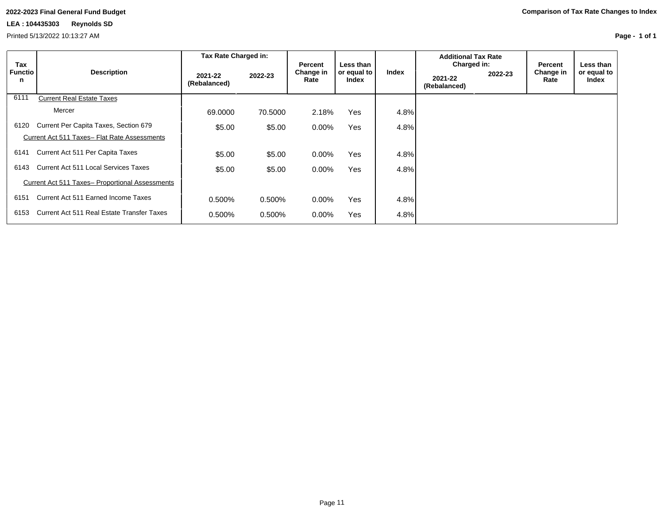### **LEA : 104435303 Reynolds SD**

Printed 5/13/2022 10:13:27 AM

**Page - 1 of 1**

|                            |                                                 | Tax Rate Charged in:    |         |                              |                                   |         | <b>Additional Tax Rate</b>             |         |                              |                                     |
|----------------------------|-------------------------------------------------|-------------------------|---------|------------------------------|-----------------------------------|---------|----------------------------------------|---------|------------------------------|-------------------------------------|
| Tax<br><b>Functio</b><br>n | <b>Description</b>                              | 2021-22<br>(Rebalanced) | 2022-23 | Percent<br>Change in<br>Rate | Less than<br>or equal to<br>Index | Index   | Charged in:<br>2021-22<br>(Rebalanced) | 2022-23 | Percent<br>Change in<br>Rate | Less than I<br>or equal to<br>Index |
| 6111                       | <b>Current Real Estate Taxes</b>                |                         |         |                              |                                   |         |                                        |         |                              |                                     |
|                            | Mercer                                          | 69.0000                 | 70.5000 | 2.18%                        | Yes                               | $4.8\%$ |                                        |         |                              |                                     |
| 6120                       | Current Per Capita Taxes, Section 679           | \$5.00                  | \$5.00  | $0.00\%$                     | Yes                               | $4.8\%$ |                                        |         |                              |                                     |
|                            | Current Act 511 Taxes- Flat Rate Assessments    |                         |         |                              |                                   |         |                                        |         |                              |                                     |
| 6141                       | Current Act 511 Per Capita Taxes                | \$5.00                  | \$5.00  | $0.00\%$                     | Yes                               | 4.8%    |                                        |         |                              |                                     |
| 6143                       | <b>Current Act 511 Local Services Taxes</b>     | \$5.00                  | \$5.00  | $0.00\%$                     | Yes                               | $4.8\%$ |                                        |         |                              |                                     |
|                            | Current Act 511 Taxes- Proportional Assessments |                         |         |                              |                                   |         |                                        |         |                              |                                     |
| 6151                       | Current Act 511 Earned Income Taxes             | 0.500%                  | 0.500%  | $0.00\%$                     | Yes                               | 4.8%    |                                        |         |                              |                                     |
| 6153                       | Current Act 511 Real Estate Transfer Taxes      | 0.500%                  | 0.500%  | $0.00\%$                     | Yes                               | 4.8%    |                                        |         |                              |                                     |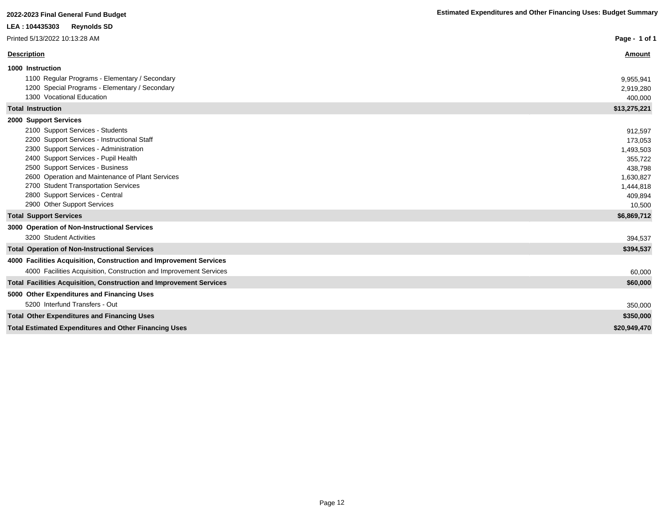**Page - 1 of 1**

| LEA: 104435303 | <b>Reynolds SD</b> |
|----------------|--------------------|
|----------------|--------------------|

Printed 5/13/2022 10:13:28 AM

| Description                                    | Amount       |
|------------------------------------------------|--------------|
| 1000 Instruction                               |              |
| 1100 Regular Programs - Elementary / Secondary | 9,955,941    |
| 1200 Special Programs - Elementary / Secondary | 2,919,280    |
| 1300 Vocational Education                      | 400,000      |
| Total Instruction                              | \$13,275,221 |
| 2000 Support Services                          |              |
| 2100 Support Services - Students               | 912,597      |
| 2200 Support Services - Instructional Staff    | 173,053      |
| 2300 Support Services - Administration         | 1,493,503    |
|                                                |              |

| 2400 Support Services - Pupil Health             | 355,722     |
|--------------------------------------------------|-------------|
| 2500 Support Services - Business                 | 438,798     |
| 2600 Operation and Maintenance of Plant Services | 1,630,827   |
| 2700 Student Transportation Services             | 1,444,818   |
| 2800 Support Services - Central                  | 409,894     |
| 2900 Other Support Services                      | 10.500      |
| <b>Total Support Services</b>                    | \$6,869,712 |

| 3000 Operation of Non-Instructional Services                               |              |
|----------------------------------------------------------------------------|--------------|
| 3200 Student Activities                                                    | 394,537      |
| <b>Total Operation of Non-Instructional Services</b>                       | \$394,537    |
| 4000 Facilities Acquisition, Construction and Improvement Services         |              |
| 4000 Facilities Acquisition, Construction and Improvement Services         | 60,000       |
| <b>Total Facilities Acquisition, Construction and Improvement Services</b> | \$60,000     |
| 5000 Other Expenditures and Financing Uses                                 |              |
| 5200 Interfund Transfers - Out                                             | 350,000      |
| <b>Total Other Expenditures and Financing Uses</b>                         | \$350,000    |
| <b>Total Estimated Expenditures and Other Financing Uses</b>               | \$20,949,470 |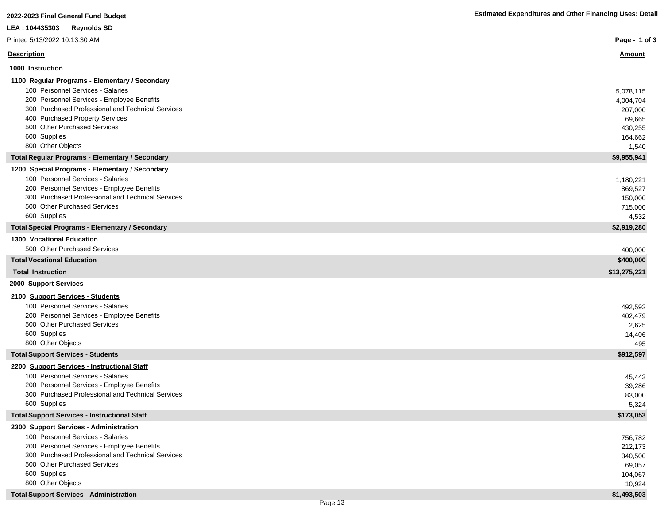| 2022-2023 Final General Fund Budget                                                             | <b>Estimated Expenditures and Other Financing Uses: Detail</b> |
|-------------------------------------------------------------------------------------------------|----------------------------------------------------------------|
| LEA: 104435303<br><b>Reynolds SD</b>                                                            |                                                                |
| Printed 5/13/2022 10:13:30 AM                                                                   | Page - 1 of 3                                                  |
| <b>Description</b>                                                                              | <u>Amount</u>                                                  |
| 1000 Instruction                                                                                |                                                                |
| 1100 Regular Programs - Elementary / Secondary                                                  |                                                                |
| 100 Personnel Services - Salaries                                                               | 5,078,115                                                      |
| 200 Personnel Services - Employee Benefits                                                      | 4,004,704                                                      |
| 300 Purchased Professional and Technical Services                                               | 207,000                                                        |
| 400 Purchased Property Services                                                                 | 69,665                                                         |
| 500 Other Purchased Services                                                                    | 430,255                                                        |
| 600 Supplies                                                                                    | 164,662                                                        |
| 800 Other Objects                                                                               | 1,540                                                          |
| <b>Total Regular Programs - Elementary / Secondary</b>                                          | \$9,955,941                                                    |
| 1200 Special Programs - Elementary / Secondary<br>100 Personnel Services - Salaries             | 1,180,221                                                      |
| 200 Personnel Services - Employee Benefits                                                      | 869,527                                                        |
| 300 Purchased Professional and Technical Services                                               | 150,000                                                        |
| 500 Other Purchased Services                                                                    | 715,000                                                        |
| 600 Supplies                                                                                    | 4,532                                                          |
| <b>Total Special Programs - Elementary / Secondary</b>                                          | \$2,919,280                                                    |
| 1300 Vocational Education                                                                       |                                                                |
| 500 Other Purchased Services                                                                    | 400,000                                                        |
| <b>Total Vocational Education</b>                                                               | \$400,000                                                      |
| <b>Total Instruction</b>                                                                        | \$13,275,221                                                   |
| 2000 Support Services                                                                           |                                                                |
| 2100 Support Services - Students                                                                |                                                                |
| 100 Personnel Services - Salaries                                                               | 492,592                                                        |
| 200 Personnel Services - Employee Benefits                                                      | 402,479                                                        |
| 500 Other Purchased Services                                                                    | 2,625                                                          |
| 600 Supplies                                                                                    | 14,406                                                         |
| 800 Other Objects                                                                               | 495                                                            |
| <b>Total Support Services - Students</b>                                                        | \$912,597                                                      |
| 2200 Support Services - Instructional Staff                                                     |                                                                |
| 100 Personnel Services - Salaries                                                               | 45,443                                                         |
| 200 Personnel Services - Employee Benefits<br>300 Purchased Professional and Technical Services | 39,286                                                         |
| 600 Supplies                                                                                    | 83,000<br>5,324                                                |
| <b>Total Support Services - Instructional Staff</b>                                             | \$173,053                                                      |
| 2300 Support Services - Administration                                                          |                                                                |
| 100 Personnel Services - Salaries                                                               | 756,782                                                        |
| 200 Personnel Services - Employee Benefits                                                      | 212,173                                                        |
| 300 Purchased Professional and Technical Services                                               | 340,500                                                        |
| 500 Other Purchased Services                                                                    | 69,057                                                         |
| 600 Supplies                                                                                    | 104,067                                                        |
| 800 Other Objects                                                                               | 10,924                                                         |
| <b>Total Support Services - Administration</b>                                                  | \$1,493,503                                                    |
| Page 13                                                                                         |                                                                |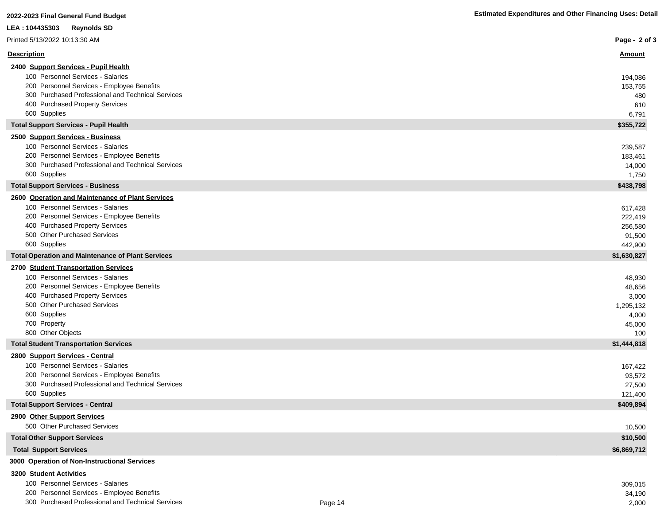| LEA: 104435303<br><b>Reynolds SD</b>                                          |                    |
|-------------------------------------------------------------------------------|--------------------|
| Printed 5/13/2022 10:13:30 AM                                                 | Page - 2 of 3      |
| <b>Description</b>                                                            | <u>Amount</u>      |
| 2400 Support Services - Pupil Health                                          |                    |
| 100 Personnel Services - Salaries                                             | 194,086            |
| 200 Personnel Services - Employee Benefits                                    | 153,755            |
| 300 Purchased Professional and Technical Services                             | 480                |
| 400 Purchased Property Services                                               | 610                |
| 600 Supplies                                                                  | 6,791              |
| <b>Total Support Services - Pupil Health</b>                                  | \$355,722          |
| 2500 Support Services - Business<br>100 Personnel Services - Salaries         |                    |
| 200 Personnel Services - Employee Benefits                                    | 239,587<br>183,461 |
| 300 Purchased Professional and Technical Services                             | 14,000             |
| 600 Supplies                                                                  | 1,750              |
| <b>Total Support Services - Business</b>                                      | \$438,798          |
| 2600 Operation and Maintenance of Plant Services                              |                    |
| 100 Personnel Services - Salaries                                             | 617,428            |
| 200 Personnel Services - Employee Benefits                                    | 222,419            |
| 400 Purchased Property Services                                               | 256,580            |
| 500 Other Purchased Services                                                  | 91,500             |
| 600 Supplies                                                                  | 442,900            |
| <b>Total Operation and Maintenance of Plant Services</b>                      | \$1,630,827        |
| 2700 Student Transportation Services                                          |                    |
| 100 Personnel Services - Salaries                                             | 48,930             |
| 200 Personnel Services - Employee Benefits<br>400 Purchased Property Services | 48,656             |
| 500 Other Purchased Services                                                  | 3,000<br>1,295,132 |
| 600 Supplies                                                                  | 4,000              |
| 700 Property                                                                  | 45,000             |
| 800 Other Objects                                                             | 100                |
| <b>Total Student Transportation Services</b>                                  | \$1,444,818        |
| 2800 Support Services - Central                                               |                    |
| 100 Personnel Services - Salaries                                             | 167,422            |
| 200 Personnel Services - Employee Benefits                                    | 93,572             |
| 300 Purchased Professional and Technical Services                             | 27,500             |
| 600 Supplies                                                                  | 121,400            |
| <b>Total Support Services - Central</b>                                       | \$409,894          |
| 2900 Other Support Services                                                   |                    |
| 500 Other Purchased Services                                                  | 10,500             |
| <b>Total Other Support Services</b>                                           | \$10,500           |
| <b>Total Support Services</b>                                                 | \$6,869,712        |
| 3000 Operation of Non-Instructional Services                                  |                    |

#### **3200 Student Activities**

| 100 Personnel Services - Salaries                 |         | 309.015 |
|---------------------------------------------------|---------|---------|
| 200 Personnel Services - Employee Benefits        |         | 34,190  |
| 300 Purchased Professional and Technical Services | Page 14 | 2,000   |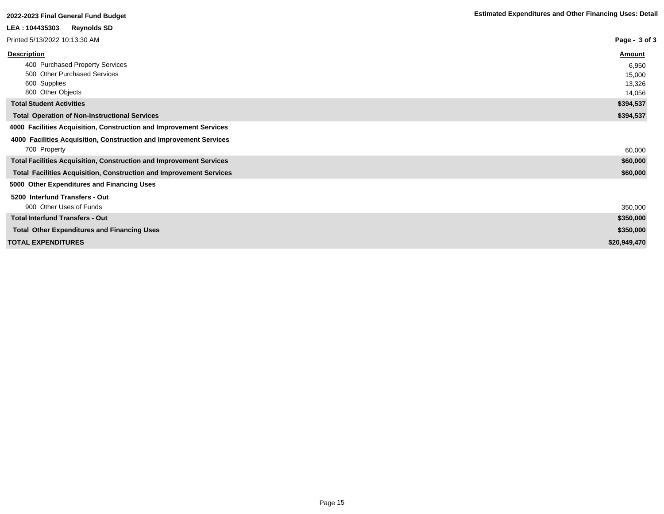| <b>Reynolds SD</b><br>LEA : 104435303                                      |               |
|----------------------------------------------------------------------------|---------------|
| Printed 5/13/2022 10:13:30 AM                                              | Page - 3 of 3 |
| <b>Description</b>                                                         | Amount        |
| 400 Purchased Property Services                                            | 6,950         |
| 500 Other Purchased Services                                               | 15,000        |
| 600 Supplies                                                               | 13,326        |
| 800 Other Objects                                                          | 14,056        |
| <b>Total Student Activities</b>                                            | \$394,537     |
| <b>Total Operation of Non-Instructional Services</b>                       | \$394,537     |
| 4000 Facilities Acquisition, Construction and Improvement Services         |               |
| 4000 Facilities Acquisition, Construction and Improvement Services         |               |
| 700 Property                                                               | 60,000        |
| <b>Total Facilities Acquisition, Construction and Improvement Services</b> | \$60,000      |
| <b>Total Facilities Acquisition, Construction and Improvement Services</b> | \$60,000      |
| 5000 Other Expenditures and Financing Uses                                 |               |
| 5200 Interfund Transfers - Out                                             |               |
| 900 Other Uses of Funds                                                    | 350,000       |
| <b>Total Interfund Transfers - Out</b>                                     | \$350,000     |
| <b>Total Other Expenditures and Financing Uses</b>                         | \$350,000     |
| <b>TOTAL EXPENDITURES</b>                                                  | \$20,949,470  |
|                                                                            |               |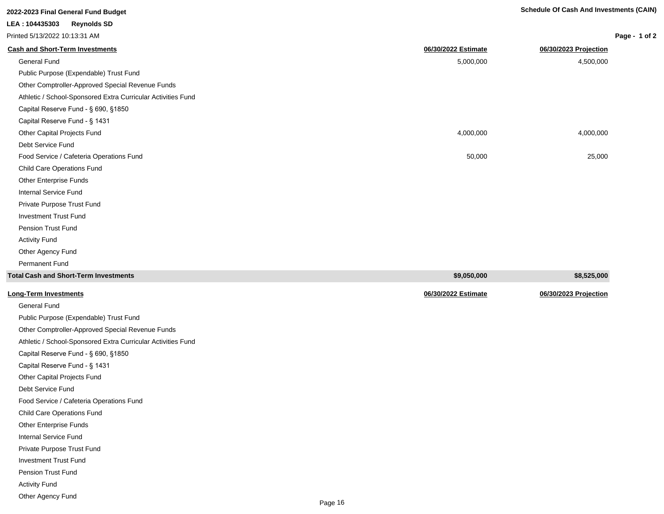| 2022-2023 Final General Fund Budget                          | Schedule Of Cash And Investments (CAIN) |                       |               |  |
|--------------------------------------------------------------|-----------------------------------------|-----------------------|---------------|--|
| <b>Reynolds SD</b><br>LEA: 104435303                         |                                         |                       |               |  |
| Printed 5/13/2022 10:13:31 AM                                |                                         |                       | Page - 1 of 2 |  |
| <b>Cash and Short-Term Investments</b>                       | 06/30/2022 Estimate                     | 06/30/2023 Projection |               |  |
| <b>General Fund</b>                                          | 5,000,000                               | 4,500,000             |               |  |
| Public Purpose (Expendable) Trust Fund                       |                                         |                       |               |  |
| Other Comptroller-Approved Special Revenue Funds             |                                         |                       |               |  |
| Athletic / School-Sponsored Extra Curricular Activities Fund |                                         |                       |               |  |
| Capital Reserve Fund - § 690, §1850                          |                                         |                       |               |  |
| Capital Reserve Fund - § 1431                                |                                         |                       |               |  |
| Other Capital Projects Fund                                  | 4,000,000                               | 4,000,000             |               |  |
| Debt Service Fund                                            |                                         |                       |               |  |
| Food Service / Cafeteria Operations Fund                     | 50,000                                  | 25,000                |               |  |
| <b>Child Care Operations Fund</b>                            |                                         |                       |               |  |
| Other Enterprise Funds                                       |                                         |                       |               |  |
| Internal Service Fund                                        |                                         |                       |               |  |
| Private Purpose Trust Fund                                   |                                         |                       |               |  |
| <b>Investment Trust Fund</b>                                 |                                         |                       |               |  |
| <b>Pension Trust Fund</b>                                    |                                         |                       |               |  |
| <b>Activity Fund</b>                                         |                                         |                       |               |  |
| Other Agency Fund                                            |                                         |                       |               |  |
| Permanent Fund                                               |                                         |                       |               |  |
| <b>Total Cash and Short-Term Investments</b>                 | \$9,050,000                             | \$8,525,000           |               |  |

| <b>Long-Term Investments</b>                                 | 06/30/2022 Estimate | 06/30/2023 Projection |
|--------------------------------------------------------------|---------------------|-----------------------|
| General Fund                                                 |                     |                       |
| Public Purpose (Expendable) Trust Fund                       |                     |                       |
| Other Comptroller-Approved Special Revenue Funds             |                     |                       |
| Athletic / School-Sponsored Extra Curricular Activities Fund |                     |                       |
| Capital Reserve Fund - § 690, §1850                          |                     |                       |
| Capital Reserve Fund - § 1431                                |                     |                       |
| Other Capital Projects Fund                                  |                     |                       |
| Debt Service Fund                                            |                     |                       |
| Food Service / Cafeteria Operations Fund                     |                     |                       |
| Child Care Operations Fund                                   |                     |                       |
| Other Enterprise Funds                                       |                     |                       |
| Internal Service Fund                                        |                     |                       |
| Private Purpose Trust Fund                                   |                     |                       |
| <b>Investment Trust Fund</b>                                 |                     |                       |
| Pension Trust Fund                                           |                     |                       |
| <b>Activity Fund</b>                                         |                     |                       |
| Other Agency Fund                                            |                     |                       |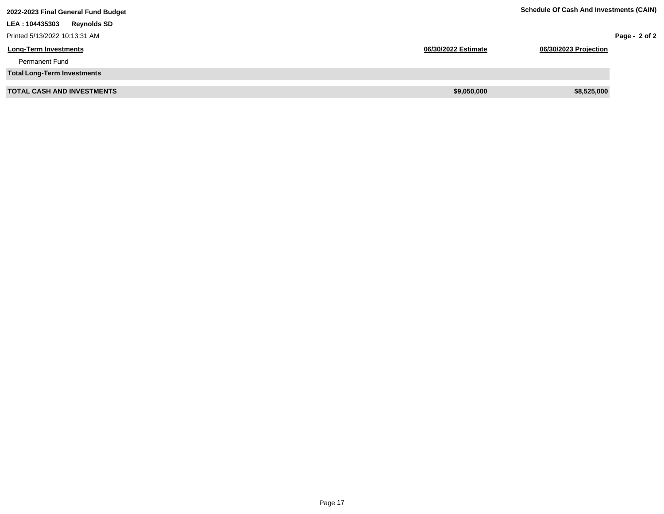| 2022-2023 Final General Fund Budget   | <b>Schedule Of Cash And Investments (CAIN)</b> |                       |               |
|---------------------------------------|------------------------------------------------|-----------------------|---------------|
| <b>Reynolds SD</b><br>LEA : 104435303 |                                                |                       |               |
| Printed 5/13/2022 10:13:31 AM         |                                                |                       | Page - 2 of 2 |
| <b>Long-Term Investments</b>          | 06/30/2022 Estimate                            | 06/30/2023 Projection |               |
| <b>Permanent Fund</b>                 |                                                |                       |               |
| <b>Total Long-Term Investments</b>    |                                                |                       |               |
| <b>TOTAL CASH AND INVESTMENTS</b>     | \$9,050,000                                    | \$8,525,000           |               |